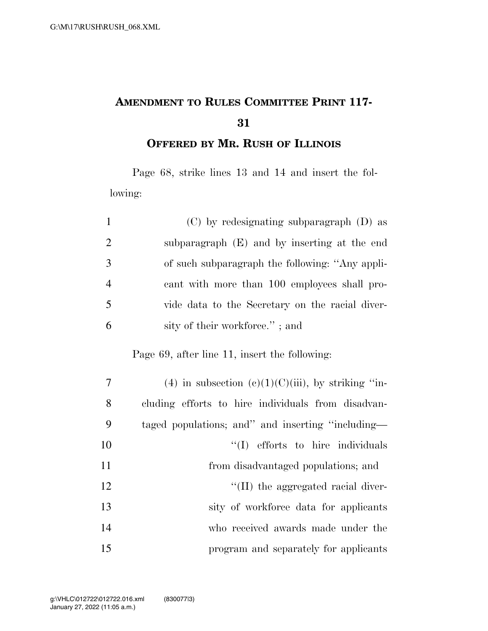## **AMENDMENT TO RULES COMMITTEE PRINT 117-**

**OFFERED BY MR. RUSH OF ILLINOIS**

Page 68, strike lines 13 and 14 and insert the following:

| $\mathbf{1}$   | $(C)$ by redesignating subparagraph $(D)$ as       |
|----------------|----------------------------------------------------|
| $\overline{2}$ | subparagraph (E) and by inserting at the end       |
| 3              | of such subparagraph the following: "Any appli-    |
| $\overline{4}$ | cant with more than 100 employees shall pro-       |
| 5              | vide data to the Secretary on the racial diver-    |
| 6              | sity of their workforce."; and                     |
|                | Page 69, after line 11, insert the following:      |
| 7              | (4) in subsection (c)(1)(C)(iii), by striking "in- |
| 8              | cluding efforts to hire individuals from disadvan- |
| 9              | taged populations; and" and inserting "including—  |
| 10             | "(I) efforts to hire individuals                   |
| 11             | from disadvantaged populations; and                |
| 12             | "(II) the aggregated racial diver-                 |
| 13             | sity of workforce data for applicants              |
| 14             | who received awards made under the                 |
| 15             | program and separately for applicants              |